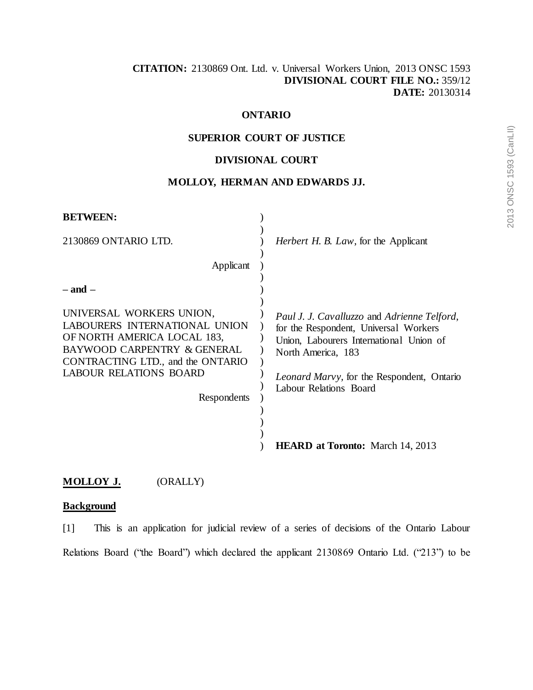# **ONTARIO**

## **SUPERIOR COURT OF JUSTICE**

## **DIVISIONAL COURT**

## **MOLLOY, HERMAN AND EDWARDS JJ.**

| <b>BETWEEN:</b>                                                                                                  |                                                                                                                                 |
|------------------------------------------------------------------------------------------------------------------|---------------------------------------------------------------------------------------------------------------------------------|
| 2130869 ONTARIO LTD.                                                                                             | <i>Herbert H. B. Law</i> , for the Applicant                                                                                    |
| Applicant                                                                                                        |                                                                                                                                 |
| $-$ and $-$<br>UNIVERSAL WORKERS UNION,<br>LABOURERS INTERNATIONAL UNION<br>OF NORTH AMERICA LOCAL 183,          | Paul J. J. Cavalluzzo and Adrienne Telford,<br>for the Respondent, Universal Workers<br>Union, Labourers International Union of |
| BAYWOOD CARPENTRY & GENERAL<br>CONTRACTING LTD., and the ONTARIO<br><b>LABOUR RELATIONS BOARD</b><br>Respondents | North America, 183<br><i>Leonard Marvy</i> , for the Respondent, Ontario<br>Labour Relations Board                              |
|                                                                                                                  | <b>HEARD at Toronto:</b> March 14, 2013                                                                                         |

# **MOLLOY J.** (ORALLY)

## **Background**

[1] This is an application for judicial review of a series of decisions of the Ontario Labour Relations Board ("the Board") which declared the applicant 2130869 Ontario Ltd. ("213") to be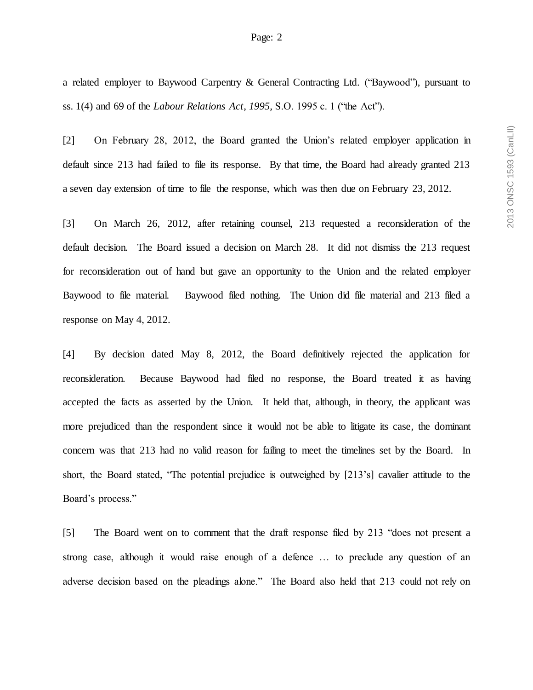a related employer to Baywood Carpentry & General Contracting Ltd. ("Baywood"), pursuant to ss. 1(4) and 69 of the *Labour Relations Act*, *1995,* S.O. 1995 c. 1 ("the Act").

[2] On February 28, 2012, the Board granted the Union's related employer application in default since 213 had failed to file its response. By that time, the Board had already granted 213 a seven day extension of time to file the response, which was then due on February 23, 2012.

[3] On March 26, 2012, after retaining counsel, 213 requested a reconsideration of the default decision. The Board issued a decision on March 28. It did not dismiss the 213 request for reconsideration out of hand but gave an opportunity to the Union and the related employer Baywood to file material. Baywood filed nothing. The Union did file material and 213 filed a response on May 4, 2012.

[4] By decision dated May 8, 2012, the Board definitively rejected the application for reconsideration. Because Baywood had filed no response, the Board treated it as having accepted the facts as asserted by the Union. It held that, although, in theory, the applicant was more prejudiced than the respondent since it would not be able to litigate its case, the dominant concern was that 213 had no valid reason for failing to meet the timelines set by the Board. In short, the Board stated, "The potential prejudice is outweighed by [213's] cavalier attitude to the Board's process."

[5] The Board went on to comment that the draft response filed by 213 "does not present a strong case, although it would raise enough of a defence … to preclude any question of an adverse decision based on the pleadings alone." The Board also held that 213 could not rely on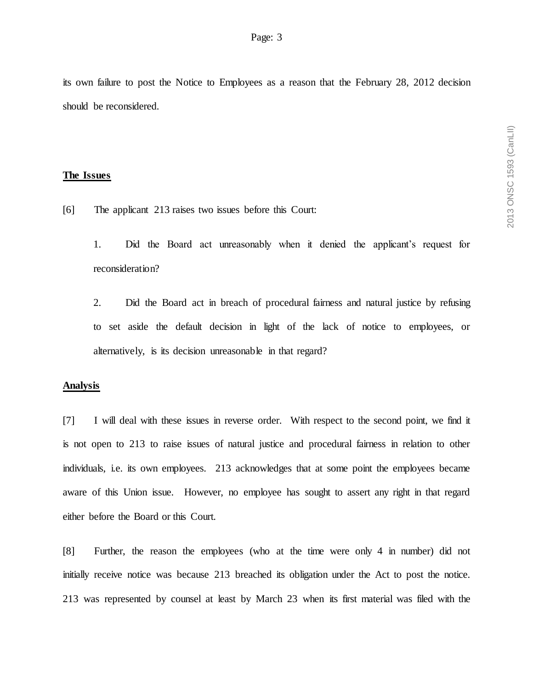its own failure to post the Notice to Employees as a reason that the February 28, 2012 decision should be reconsidered.

#### **The Issues**

[6] The applicant 213 raises two issues before this Court:

1. Did the Board act unreasonably when it denied the applicant's request for reconsideration?

2. Did the Board act in breach of procedural fairness and natural justice by refusing to set aside the default decision in light of the lack of notice to employees, or alternatively, is its decision unreasonable in that regard?

### **Analysis**

[7] I will deal with these issues in reverse order. With respect to the second point, we find it is not open to 213 to raise issues of natural justice and procedural fairness in relation to other individuals, i.e. its own employees. 213 acknowledges that at some point the employees became aware of this Union issue. However, no employee has sought to assert any right in that regard either before the Board or this Court.

[8] Further, the reason the employees (who at the time were only 4 in number) did not initially receive notice was because 213 breached its obligation under the Act to post the notice. 213 was represented by counsel at least by March 23 when its first material was filed with the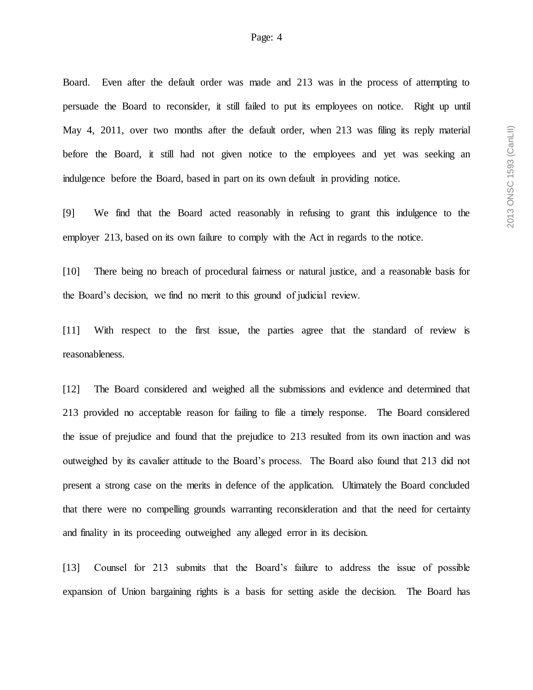Board. Even after the default order was made and 213 was in the process of attempting to persuade the Board to reconsider, it still failed to put its employees on notice. Right up until May 4, 2011, over two months after the default order, when 213 was filing its reply material before the Board, it still had not given notice to the employees and yet was seeking an indulgence before the Board, based in part on its own default in providing notice.

[9] We find that the Board acted reasonably in refusing to grant this indulgence to the employer 213, based on its own failure to comply with the Act in regards to the notice.

[10] There being no breach of procedural fairness or natural justice, and a reasonable basis for the Board's decision, we find no merit to this ground of judicial review.

[11] With respect to the first issue, the parties agree that the standard of review is reasonableness.

[12] The Board considered and weighed all the submissions and evidence and determined that 213 provided no acceptable reason for failing to file a timely response. The Board considered the issue of prejudice and found that the prejudice to 213 resulted from its own inaction and was outweighed by its cavalier attitude to the Board's process. The Board also found that 213 did not present a strong case on the merits in defence of the application. Ultimately the Board concluded that there were no compelling grounds warranting reconsideration and that the need for certainty and finality in its proceeding outweighed any alleged error in its decision.

[13] Counsel for 213 submits that the Board's failure to address the issue of possible expansion of Union bargaining rights is a basis for setting aside the decision. The Board has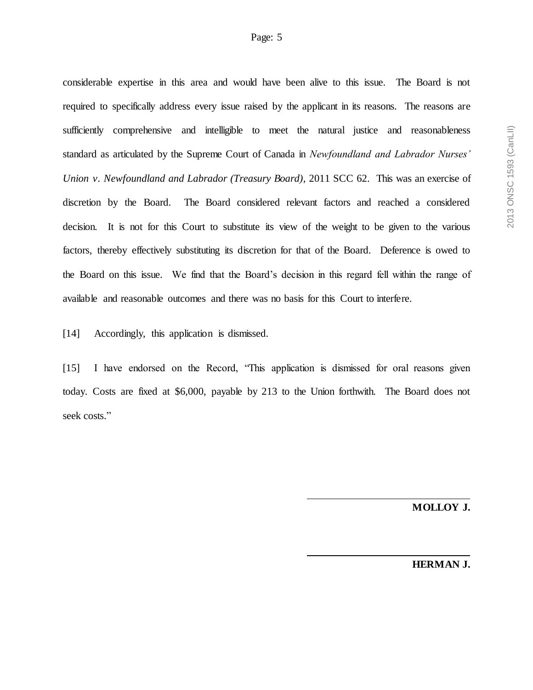considerable expertise in this area and would have been alive to this issue. The Board is not required to specifically address every issue raised by the applicant in its reasons. The reasons are sufficiently comprehensive and intelligible to meet the natural justice and reasonableness standard as articulated by the Supreme Court of Canada in *Newfoundland and Labrador Nurses' Union v. Newfoundland and Labrador (Treasury Board),* 2011 SCC 62. This was an exercise of discretion by the Board. The Board considered relevant factors and reached a considered decision. It is not for this Court to substitute its view of the weight to be given to the various factors, thereby effectively substituting its discretion for that of the Board. Deference is owed to the Board on this issue. We find that the Board's decision in this regard fell within the range of available and reasonable outcomes and there was no basis for this Court to interfere.

[14] Accordingly, this application is dismissed.

[15] I have endorsed on the Record, "This application is dismissed for oral reasons given today. Costs are fixed at \$6,000, payable by 213 to the Union forthwith. The Board does not seek costs."

**MOLLOY J.**

**HERMAN J.**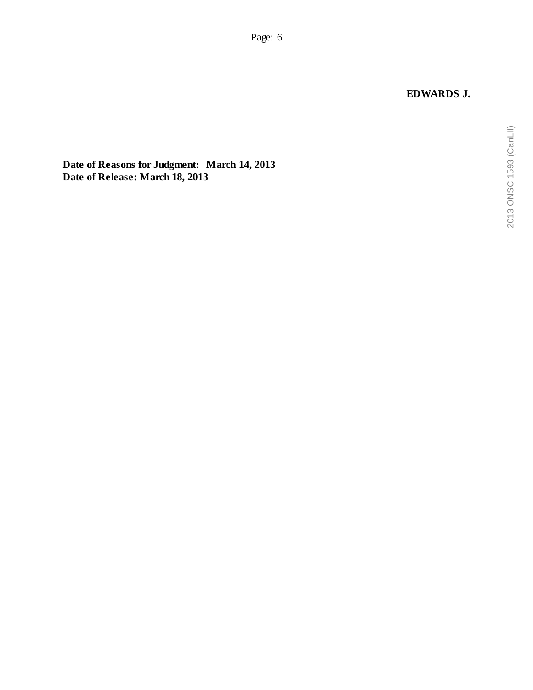**EDWARDS J.**

**Date of Reasons for Judgment: March 14, 2013 Date of Release: March 18, 2013**